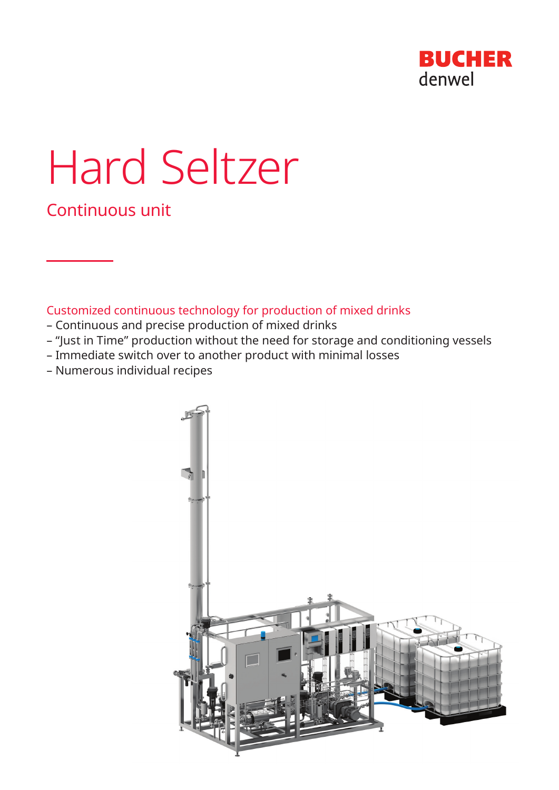

# Hard Seltzer

Continuous unit

Customized continuous technology for production of mixed drinks

- Continuous and precise production of mixed drinks
- "Just in Time" production without the need for storage and conditioning vessels
- Immediate switch over to another product with minimal losses
- Numerous individual recipes